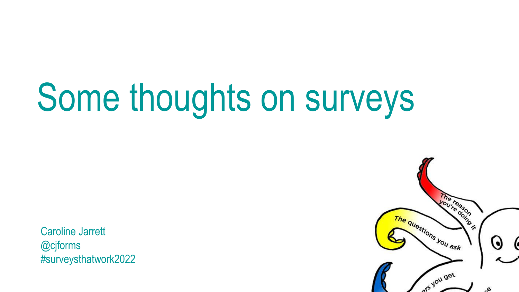# Some thoughts on surveys

Caroline Jarrett @cjforms #surveysthatwork2022

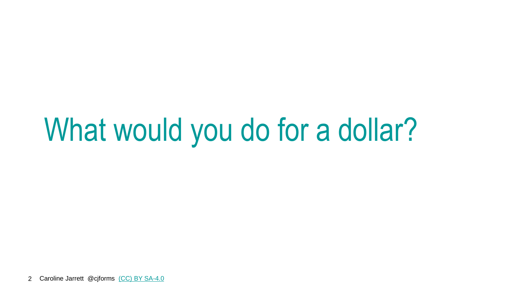## What would you do for a dollar?

2 Caroline Jarrett @cjforms [\(CC\) BY SA-4.0](https://creativecommons.org/licenses/by-sa/4.0/)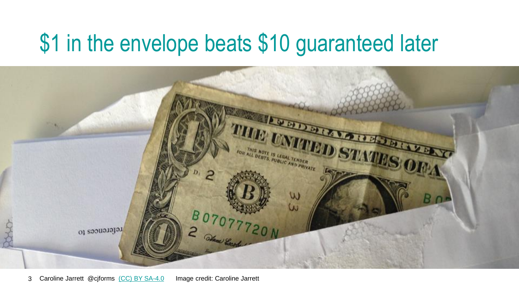#### \$1 in the envelope beats \$10 guaranteed later

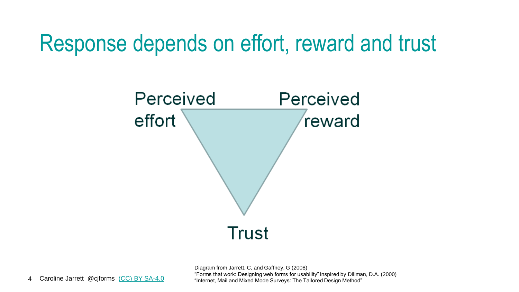#### Response depends on effort, reward and trust



Diagram from Jarrett, C, and Gaffney, G (2008) "Forms that work: Designing web forms for usability" inspired by Dillman, D.A. (2000) "Internet, Mail and Mixed Mode Surveys: The Tailored Design Method"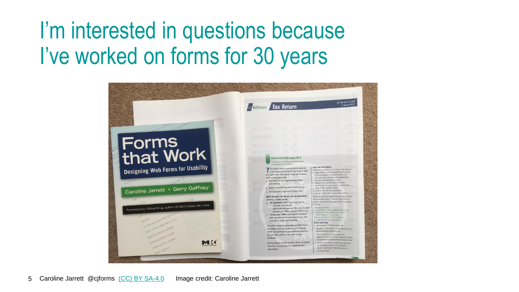#### I'm interested in questions because I've worked on forms for 30 years

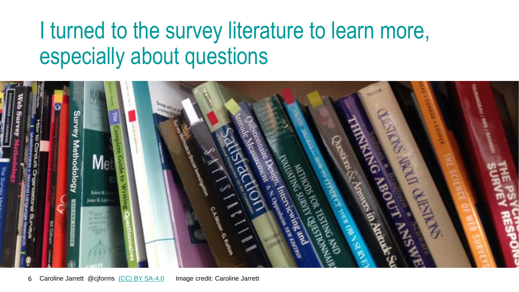#### I turned to the survey literature to learn more, especially about questions

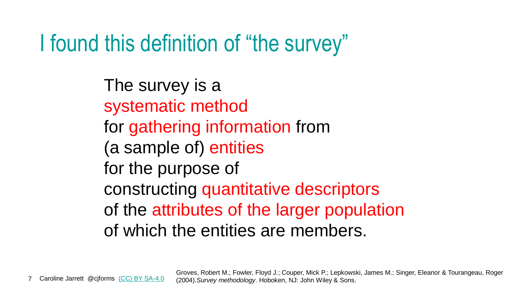#### I found this definition of "the survey"

The survey is a systematic method for gathering information from (a sample of) entities for the purpose of constructing quantitative descriptors of the attributes of the larger population of which the entities are members.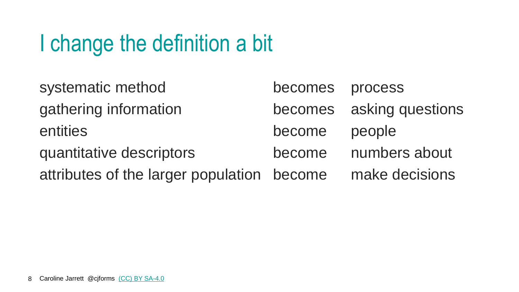### I change the definition a bit

| systematic method                          | becomes process |                          |
|--------------------------------------------|-----------------|--------------------------|
| gathering information                      |                 | becomes asking questions |
| entities                                   | become          | people                   |
| quantitative descriptors                   | become          | numbers about            |
| attributes of the larger population become |                 | make decisions           |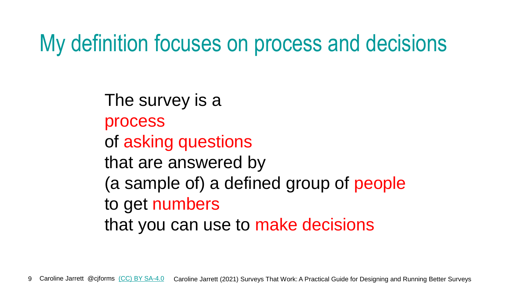#### My definition focuses on process and decisions

The survey is a process of asking questions that are answered by (a sample of) a defined group of people to get numbers that you can use to make decisions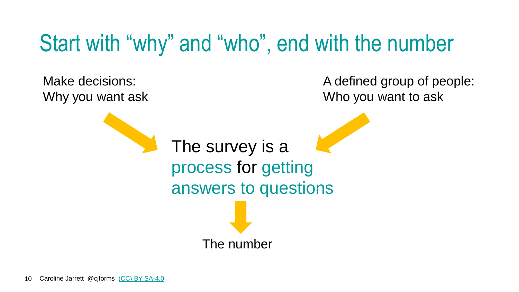#### Start with "why" and "who", end with the number

The survey is a process for getting answers to questions Make decisions: Why you want ask A defined group of people: Who you want to ask The number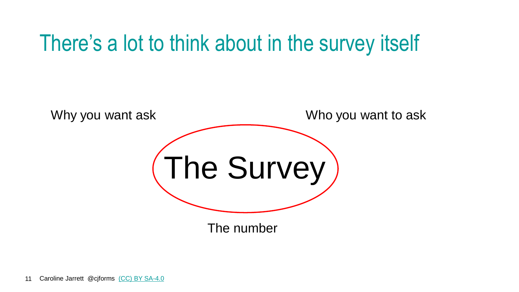#### There's a lot to think about in the survey itself

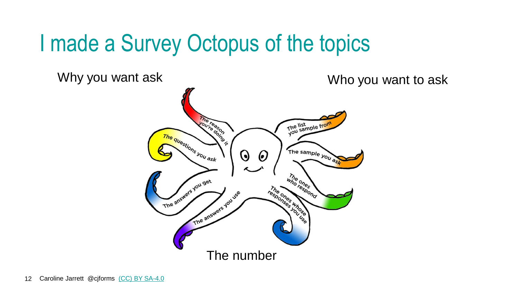#### I made a Survey Octopus of the topics

Why you want ask Who you want to ask The ready The list<br>you sample from The questions you ask The sample you ask  $\Theta$  $\boldsymbol{\Theta}$ who chestond The answers you get A street ones words The answers you use The number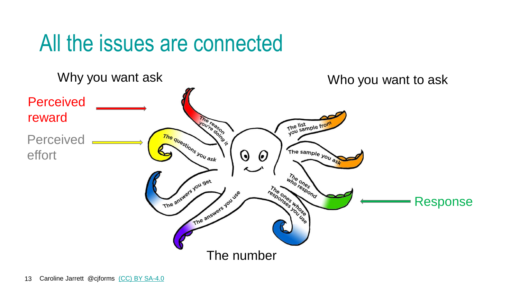#### All the issues are connected

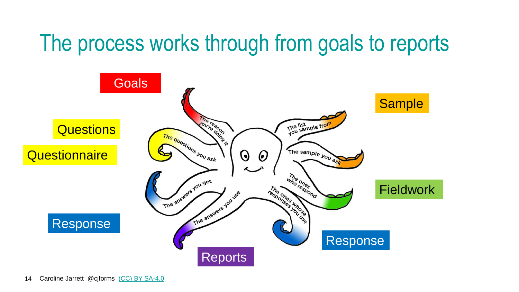#### The process works through from goals to reports

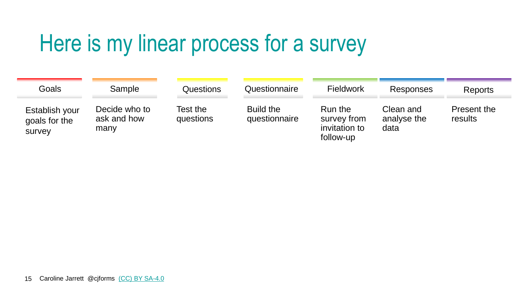#### Here is my linear process for a survey

| Goals                                     | Sample                               | Questions             | Questionnaire              | <b>Fieldwork</b>                                     | Responses                        | <b>Reports</b>                |
|-------------------------------------------|--------------------------------------|-----------------------|----------------------------|------------------------------------------------------|----------------------------------|-------------------------------|
| Establish your<br>goals for the<br>survey | Decide who to<br>ask and how<br>many | Test the<br>questions | Build the<br>questionnaire | Run the<br>survey from<br>invitation to<br>follow-up | Clean and<br>analyse the<br>data | <b>Present the</b><br>results |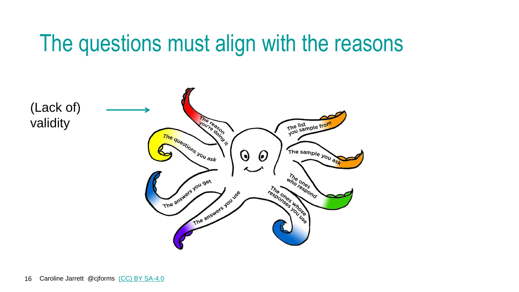#### The questions must align with the reasons

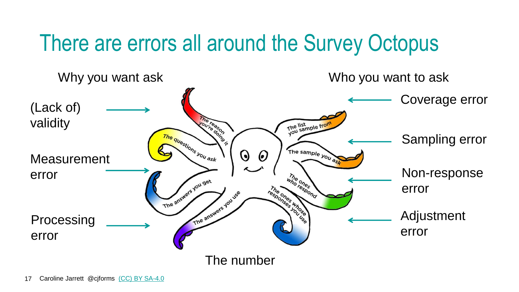#### There are errors all around the Survey Octopus

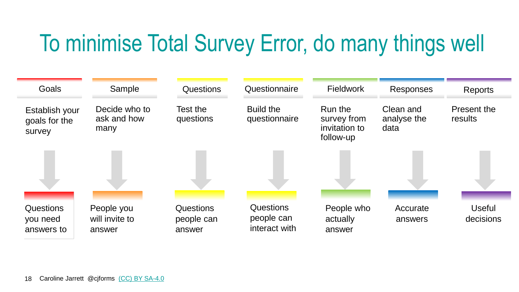### To minimise Total Survey Error, do many things well

| Goals                                      | Sample                                 | <b>Questions</b>                         | Questionnaire                                   | <b>Fieldwork</b>                                     | <b>Responses</b>                 | <b>Reports</b>             |
|--------------------------------------------|----------------------------------------|------------------------------------------|-------------------------------------------------|------------------------------------------------------|----------------------------------|----------------------------|
| Establish your<br>goals for the<br>survey  | Decide who to<br>ask and how<br>many   | Test the<br>questions                    | Build the<br>questionnaire                      | Run the<br>survey from<br>invitation to<br>follow-up | Clean and<br>analyse the<br>data | Present the<br>results     |
|                                            |                                        |                                          |                                                 |                                                      |                                  |                            |
| <b>Questions</b><br>you need<br>answers to | People you<br>will invite to<br>answer | <b>Questions</b><br>people can<br>answer | <b>Questions</b><br>people can<br>interact with | People who<br>actually<br>answer                     | Accurate<br>answers              | <b>Useful</b><br>decisions |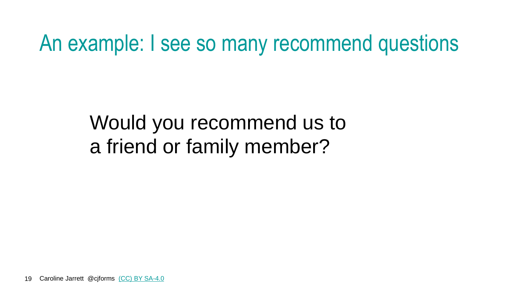An example: I see so many recommend questions

Would you recommend us to a friend or family member?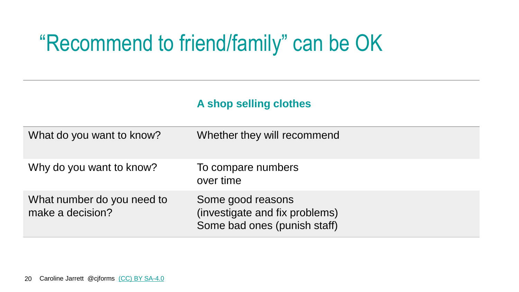#### "Recommend to friend/family" can be OK

#### **A shop selling clothes**

| What do you want to know?                      | Whether they will recommend                                                         |
|------------------------------------------------|-------------------------------------------------------------------------------------|
| Why do you want to know?                       | To compare numbers<br>over time                                                     |
| What number do you need to<br>make a decision? | Some good reasons<br>(investigate and fix problems)<br>Some bad ones (punish staff) |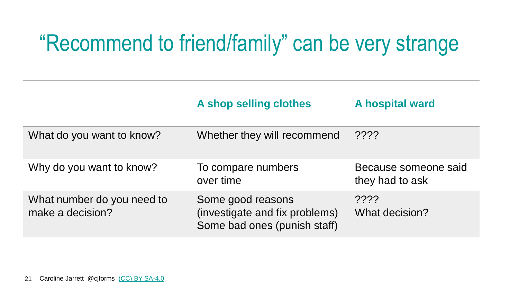#### "Recommend to friend/family" can be very strange

|                                                | A shop selling clothes                                                              | <b>A hospital ward</b>                  |
|------------------------------------------------|-------------------------------------------------------------------------------------|-----------------------------------------|
| What do you want to know?                      | Whether they will recommend                                                         | $??\overset{\frown}{?}$                 |
| Why do you want to know?                       | To compare numbers<br>over time                                                     | Because someone said<br>they had to ask |
| What number do you need to<br>make a decision? | Some good reasons<br>(investigate and fix problems)<br>Some bad ones (punish staff) | 2222<br>What decision?                  |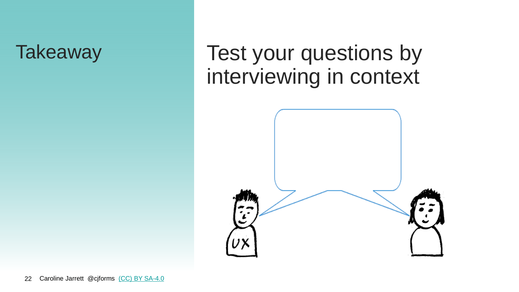#### Takeaway Test your questions by interviewing in context